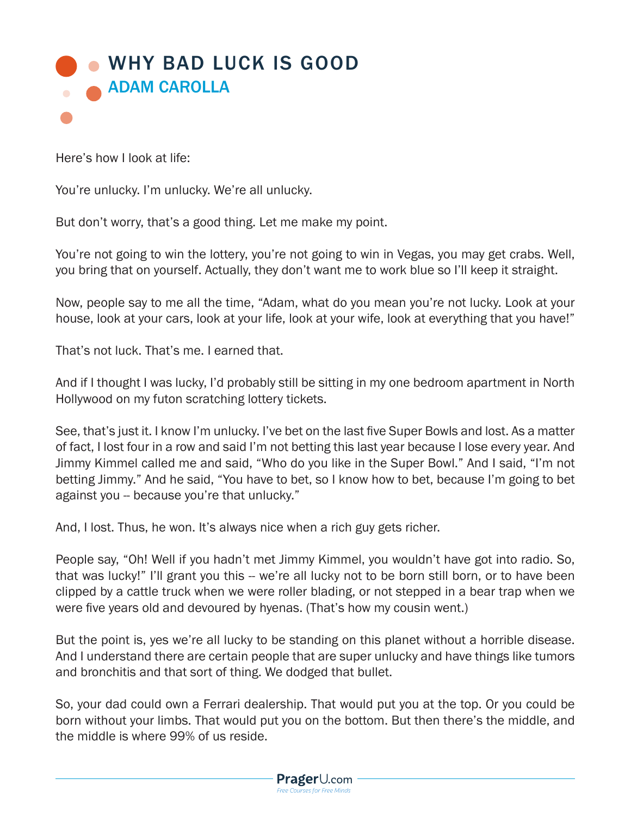

Here's how I look at life:

You're unlucky. I'm unlucky. We're all unlucky.

But don't worry, that's a good thing. Let me make my point.

You're not going to win the lottery, you're not going to win in Vegas, you may get crabs. Well, you bring that on yourself. Actually, they don't want me to work blue so I'll keep it straight.

Now, people say to me all the time, "Adam, what do you mean you're not lucky. Look at your house, look at your cars, look at your life, look at your wife, look at everything that you have!"

That's not luck. That's me. I earned that.

And if I thought I was lucky, I'd probably still be sitting in my one bedroom apartment in North Hollywood on my futon scratching lottery tickets.

See, that's just it. I know I'm unlucky. I've bet on the last five Super Bowls and lost. As a matter of fact, I lost four in a row and said I'm not betting this last year because I lose every year. And Jimmy Kimmel called me and said, "Who do you like in the Super Bowl." And I said, "I'm not betting Jimmy." And he said, "You have to bet, so I know how to bet, because I'm going to bet against you -- because you're that unlucky."

And, I lost. Thus, he won. It's always nice when a rich guy gets richer.

People say, "Oh! Well if you hadn't met Jimmy Kimmel, you wouldn't have got into radio. So, that was lucky!" I'll grant you this -- we're all lucky not to be born still born, or to have been clipped by a cattle truck when we were roller blading, or not stepped in a bear trap when we were five years old and devoured by hyenas. (That's how my cousin went.)

But the point is, yes we're all lucky to be standing on this planet without a horrible disease. And I understand there are certain people that are super unlucky and have things like tumors and bronchitis and that sort of thing. We dodged that bullet.

So, your dad could own a Ferrari dealership. That would put you at the top. Or you could be born without your limbs. That would put you on the bottom. But then there's the middle, and the middle is where 99% of us reside.